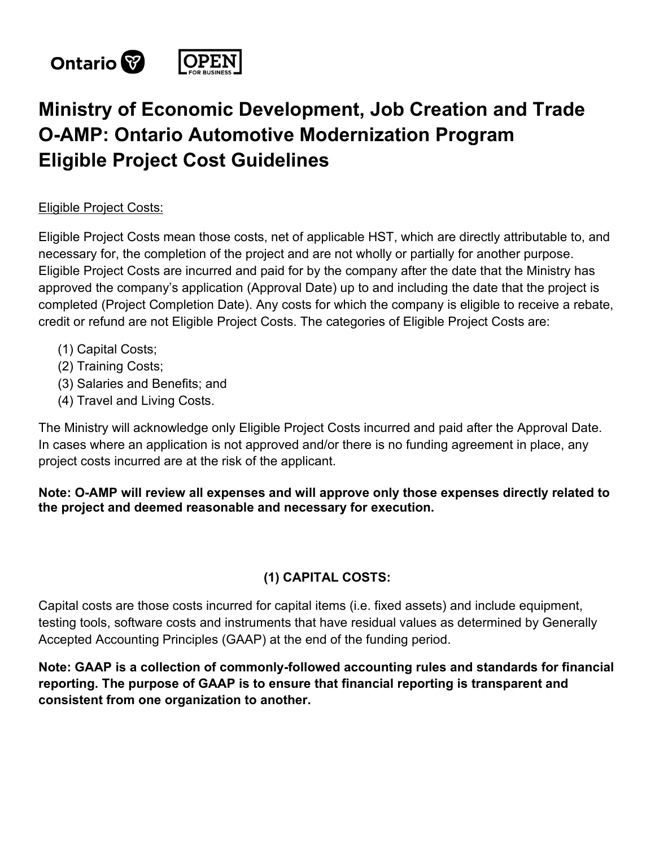

# **Ministry of Economic Development, Job Creation and Trade O-AMP: Ontario Automotive Modernization Program Eligible Project Cost Guidelines**

#### Eligible Project Costs:

Eligible Project Costs mean those costs, net of applicable HST, which are directly attributable to, and necessary for, the completion of the project and are not wholly or partially for another purpose. Eligible Project Costs are incurred and paid for by the company after the date that the Ministry has approved the company's application (Approval Date) up to and including the date that the project is completed (Project Completion Date). Any costs for which the company is eligible to receive a rebate, credit or refund are not Eligible Project Costs. The categories of Eligible Project Costs are:

- (1) Capital Costs;
- (2) Training Costs;
- (3) Salaries and Benefits; and
- (4) Travel and Living Costs.

The Ministry will acknowledge only Eligible Project Costs incurred and paid after the Approval Date. In cases where an application is not approved and/or there is no funding agreement in place, any project costs incurred are at the risk of the applicant.

#### **Note: O-AMP will review all expenses and will approve only those expenses directly related to the project and deemed reasonable and necessary for execution.**

#### **(1) CAPITAL COSTS:**

Capital costs are those costs incurred for capital items (i.e. fixed assets) and include equipment, testing tools, software costs and instruments that have residual values as determined by Generally Accepted Accounting Principles (GAAP) at the end of the funding period.

**Note: GAAP is a collection of commonly-followed accounting rules and standards for financial reporting. The purpose of GAAP is to ensure that financial reporting is transparent and consistent from one organization to another.**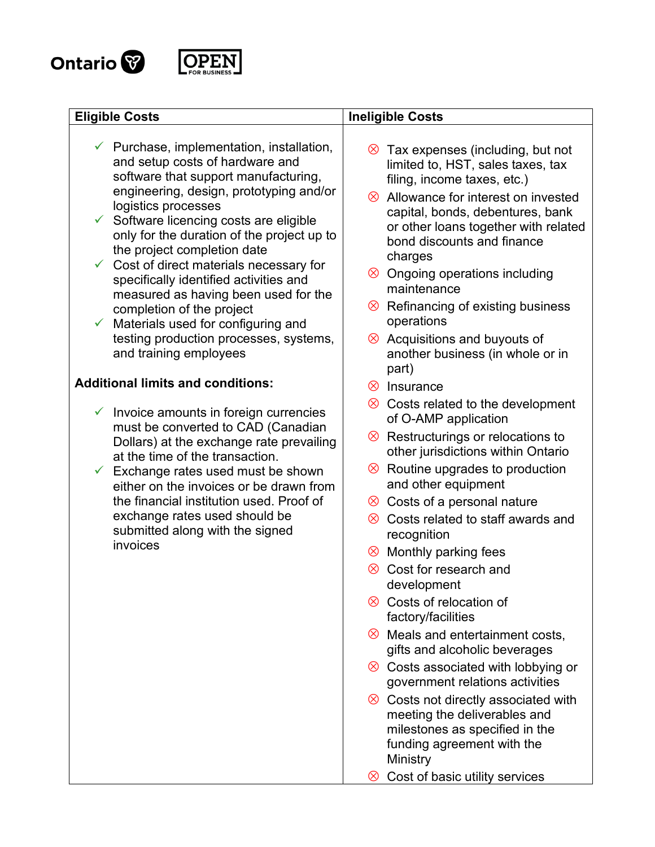

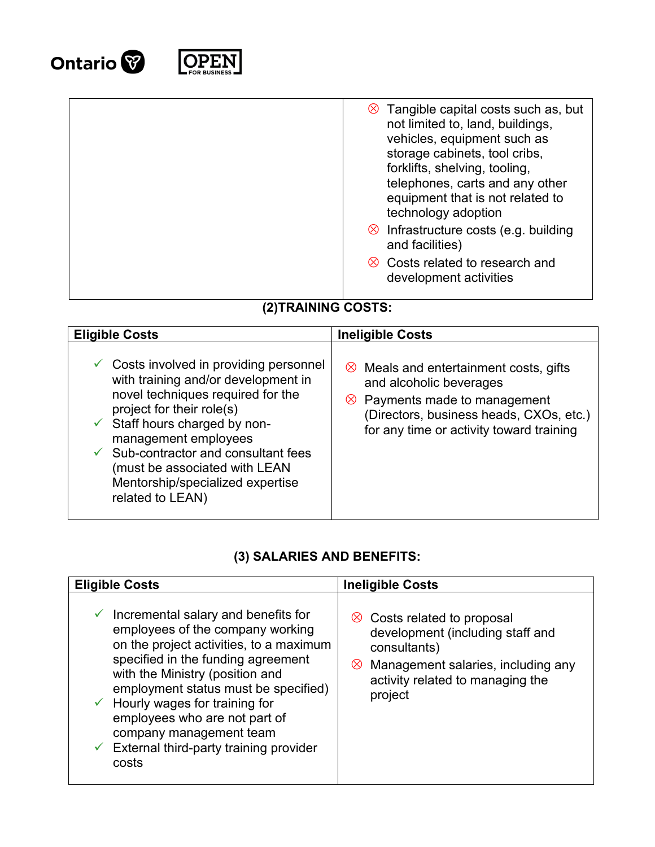



| $\otimes$ Tangible capital costs such as, but<br>not limited to, land, buildings,<br>vehicles, equipment such as<br>storage cabinets, tool cribs,<br>forklifts, shelving, tooling,<br>telephones, carts and any other<br>equipment that is not related to<br>technology adoption |
|----------------------------------------------------------------------------------------------------------------------------------------------------------------------------------------------------------------------------------------------------------------------------------|
| $\otimes$ Infrastructure costs (e.g. building<br>and facilities)                                                                                                                                                                                                                 |
| ia Costs related to research and<br>development activities                                                                                                                                                                                                                       |

### **(2)TRAINING COSTS:**

| <b>Eligible Costs</b>                                                                                                                                                                                                                                                                                                                                                       | <b>Ineligible Costs</b>                                                                                                                                                                                   |
|-----------------------------------------------------------------------------------------------------------------------------------------------------------------------------------------------------------------------------------------------------------------------------------------------------------------------------------------------------------------------------|-----------------------------------------------------------------------------------------------------------------------------------------------------------------------------------------------------------|
| $\checkmark$ Costs involved in providing personnel<br>with training and/or development in<br>novel techniques required for the<br>project for their role(s)<br>$\checkmark$ Staff hours charged by non-<br>management employees<br>$\checkmark$ Sub-contractor and consultant fees<br>(must be associated with LEAN<br>Mentorship/specialized expertise<br>related to LEAN) | $\otimes$ Meals and entertainment costs, gifts<br>and alcoholic beverages<br>$\otimes$ Payments made to management<br>(Directors, business heads, CXOs, etc.)<br>for any time or activity toward training |

## **(3) SALARIES AND BENEFITS:**

| <b>Eligible Costs</b>                                                                                                                                                                                                                                                                                                                                                                                                      | <b>Ineligible Costs</b>                                                                                                                                                            |
|----------------------------------------------------------------------------------------------------------------------------------------------------------------------------------------------------------------------------------------------------------------------------------------------------------------------------------------------------------------------------------------------------------------------------|------------------------------------------------------------------------------------------------------------------------------------------------------------------------------------|
| $\checkmark$ Incremental salary and benefits for<br>employees of the company working<br>on the project activities, to a maximum<br>specified in the funding agreement<br>with the Ministry (position and<br>employment status must be specified)<br>$\checkmark$ Hourly wages for training for<br>employees who are not part of<br>company management team<br>$\checkmark$ External third-party training provider<br>costs | in Costs related to proposal<br>development (including staff and<br>consultants)<br>Management salaries, including any<br>$\otimes$<br>activity related to managing the<br>project |